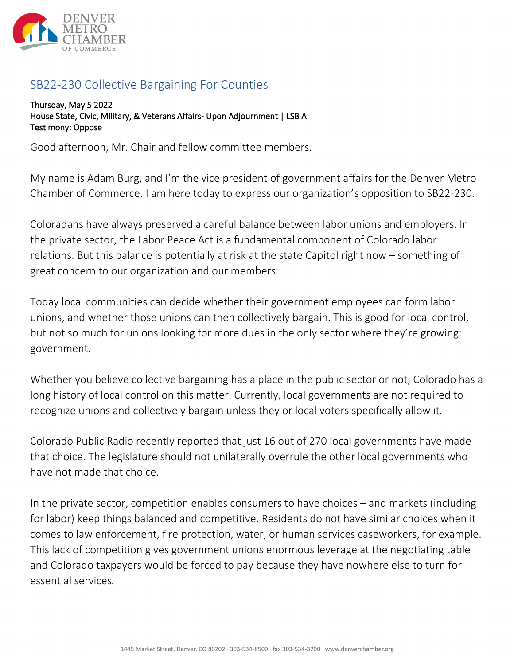

## SB22-230 Collective Bargaining For Counties

Thursday, May 5 2022 House State, Civic, Military, & Veterans Affairs- Upon Adjournment | LSB A Testimony: Oppose

Good afternoon, Mr. Chair and fellow committee members.

My name is Adam Burg, and I'm the vice president of government affairs for the Denver Metro Chamber of Commerce. I am here today to express our organization's opposition to SB22-230.

Coloradans have always preserved a careful balance between labor unions and employers. In the private sector, the Labor Peace Act is a fundamental component of Colorado labor relations. But this balance is potentially at risk at the state Capitol right now – something of great concern to our organization and our members.

Today local communities can decide whether their government employees can form labor unions, and whether those unions can then collectively bargain. This is good for local control, but not so much for unions looking for more dues in the only sector where they're growing: government.

Whether you believe collective bargaining has a place in the public sector or not, Colorado has a long history of local control on this matter. Currently, local governments are not required to recognize unions and collectively bargain unless they or local voters specifically allow it.

Colorado Public Radio recently reported that just 16 out of 270 local governments have made that choice. The legislature should not unilaterally overrule the other local governments who have not made that choice.

In the private sector, competition enables consumers to have choices – and markets (including for labor) keep things balanced and competitive. Residents do not have similar choices when it comes to law enforcement, fire protection, water, or human services caseworkers, for example. This lack of competition gives government unions enormous leverage at the negotiating table and Colorado taxpayers would be forced to pay because they have nowhere else to turn for essential services*.*